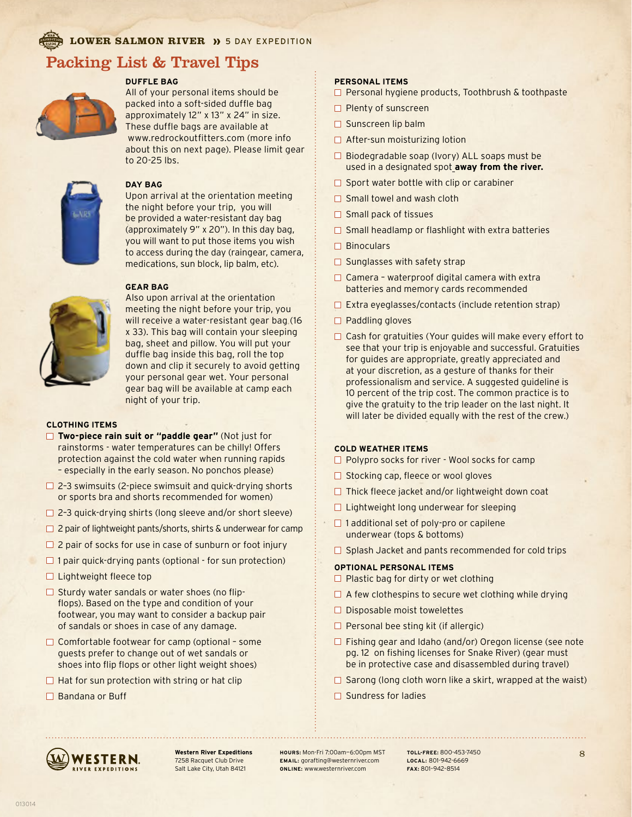**LOWER SALMON RIVER >>** 5 DAY EXPEDITION

# Packing List & Travel Tips



### **DUFFLE BAG**

All of your personal items should be packed into a soft-sided duffle bag approximately 12" x 13" x 24" in size. These duffle bags are available at www.redrockoutfitters.com (more info about this on next page). Please limit gear to 20-25 lbs.



#### **DAY BAG**

Upon arrival at the orientation meeting the night before your trip, you will be provided a water-resistant day bag (approximately 9" x 20"). In this day bag, you will want to put those items you wish to access during the day (raingear, camera, medications, sun block, lip balm, etc).

### **GEAR BAG**



Also upon arrival at the orientation meeting the night before your trip, you will receive a water-resistant gear bag (16 x 33). This bag will contain your sleeping bag, sheet and pillow. You will put your duffle bag inside this bag, roll the top down and clip it securely to avoid getting your personal gear wet. Your personal gear bag will be available at camp each night of your trip.

#### **CLOTHING ITEMS**

- **Two-piece rain suit or "paddle gear"** (Not just for rainstorms - water temperatures can be chilly! Offers protection against the cold water when running rapids – especially in the early season. No ponchos please)
- $\Box$  2-3 swimsuits (2-piece swimsuit and quick-drying shorts or sports bra and shorts recommended for women)
- $\Box$  2-3 quick-drying shirts (long sleeve and/or short sleeve)
- $\Box$  2 pair of lightweight pants/shorts, shirts & underwear for camp
- $\Box$  2 pair of socks for use in case of sunburn or foot injury
- $\Box$  1 pair quick-drying pants (optional for sun protection)
- $\Box$  Lightweight fleece top
- $\Box$  Sturdy water sandals or water shoes (no flipflops). Based on the type and condition of your footwear, you may want to consider a backup pair of sandals or shoes in case of any damage.
- $\Box$  Comfortable footwear for camp (optional some guests prefer to change out of wet sandals or shoes into flip flops or other light weight shoes)
- $\Box$  Hat for sun protection with string or hat clip
- □ Bandana or Buff

### **PERSONAL ITEMS**

- Personal hygiene products, Toothbrush & toothpaste
- **Plenty of sunscreen**
- $\square$  Sunscreen lip balm
- $\Box$  After-sun moisturizing lotion
- $\Box$  Biodegradable soap (Ivory) ALL soaps must be used in a designated spot **away from the river.**
- $\Box$  Sport water bottle with clip or carabiner
- $\Box$  Small towel and wash cloth
- $\Box$  Small pack of tissues
- $\Box$  Small headlamp or flashlight with extra batteries
- $\Box$  Binoculars
- $\Box$  Sunglasses with safety strap
- $\Box$  Camera waterproof digital camera with extra batteries and memory cards recommended
- $\Box$  Extra eyeglasses/contacts (include retention strap)
- $\Box$  Paddling gloves
- $\Box$  Cash for gratuities (Your guides will make every effort to see that your trip is enjoyable and successful. Gratuities for guides are appropriate, greatly appreciated and at your discretion, as a gesture of thanks for their professionalism and service. A suggested guideline is 10 percent of the trip cost. The common practice is to give the gratuity to the trip leader on the last night. It will later be divided equally with the rest of the crew.)

#### **COLD WEATHER ITEMS**

- □ Polypro socks for river Wool socks for camp
- $\Box$  Stocking cap, fleece or wool gloves
- $\Box$  Thick fleece jacket and/or lightweight down coat
- $\Box$  Lightweight long underwear for sleeping
- $\Box$  1 additional set of poly-pro or capilene underwear (tops & bottoms)
- $\Box$  Splash Jacket and pants recommended for cold trips

### **OPTIONAL PERSONAL ITEMS**

- $\Box$  Plastic bag for dirty or wet clothing
- $\Box$  A few clothespins to secure wet clothing while drying
- $\square$  Disposable moist towelettes
- $\Box$  Personal bee sting kit (if allergic)
- $\Box$  Fishing gear and Idaho (and/or) Oregon license (see note pg. 12 on fishing licenses for Snake River) (gear must be in protective case and disassembled during travel)
- $\Box$  Sarong (long cloth worn like a skirt, wrapped at the waist)
- $\Box$  Sundress for ladies



**Western River Expeditions** 7258 Racquet Club Drive Salt Lake City, Utah 84121

**HOURS:** Mon-Fri 7:00am—6:00pm MST **EMAIL:** gorafting@westernriver.com **ONLINE:** www.westernriver.com

**TOLL-FREE:** 800-453-7450 **LOCAL:** 801-942-6669 **FAX:** 801–942–8514

8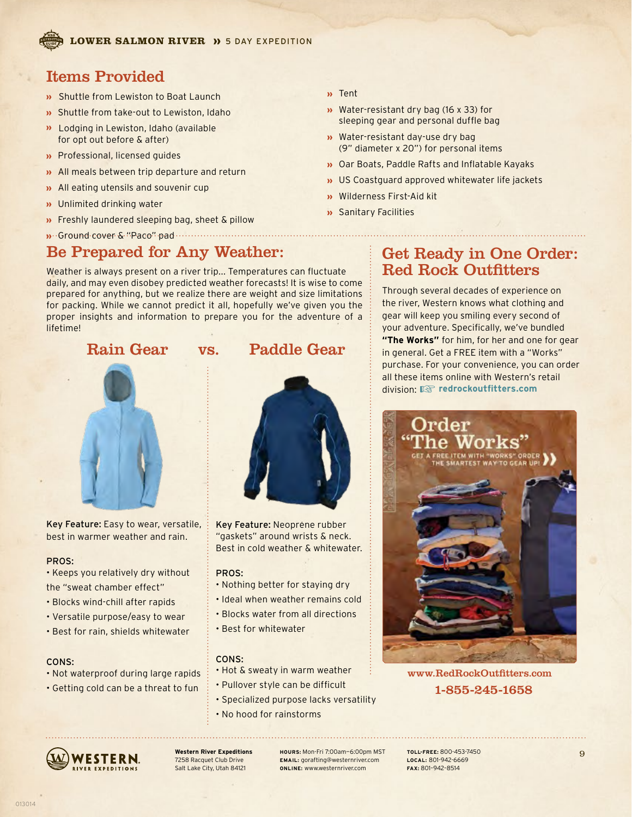# Items Provided

- Shuttle from Lewiston to Boat Launch
- **»** Shuttle from take-out to Lewiston, Idaho
- **D** Lodging in Lewiston, Idaho (available for opt out before & after)
- **»** Professional, licensed guides
- All meals between trip departure and return
- **»** All eating utensils and souvenir cup
- **»** Unlimited drinking water
- **»** Freshly laundered sleeping bag, sheet & pillow

# Ground cover & "Paco" pad

# Be Prepared for Any Weather:

Weather is always present on a river trip... Temperatures can fluctuate daily, and may even disobey predicted weather forecasts! It is wise to come prepared for anything, but we realize there are weight and size limitations for packing. While we cannot predict it all, hopefully we've given you the proper insights and information to prepare you for the adventure of a lifetime!

## Rain Gear vs. Paddle Gear



Key Feature: Easy to wear, versatile, best in warmer weather and rain.

### PROS:

- Keeps you relatively dry without the "sweat chamber effect"
- Blocks wind-chill after rapids
- Versatile purpose/easy to wear
- Best for rain, shields whitewater

## CONS:

- Not waterproof during large rapids
- Getting cold can be a threat to fun



Tent

Water-resistant dry bag (16 x 33) for sleeping gear and personal duffle bag

(9" diameter x 20") for personal items Oar Boats, Paddle Rafts and Inflatable Kayaks **»** US Coastguard approved whitewater life jackets

**w** Water-resistant day-use dry bag

Wilderness First-Aid kit Sanitary Facilities

Key Feature: Neoprene rubber "gaskets" around wrists & neck. Best in cold weather & whitewater.

### PROS:

- Nothing better for staying dry
- Ideal when weather remains cold
- Blocks water from all directions
- Best for whitewater

## CONS:

- Hot & sweaty in warm weather
- Pullover style can be difficult
- Specialized purpose lacks versatility
- No hood for rainstorms



**Western River Expeditions** 7258 Racquet Club Drive Salt Lake City, Utah 84121

**HOURS:** Mon-Fri 7:00am—6:00pm MST **EMAIL:** gorafting@westernriver.com **ONLINE:** www.westernriver.com

# Get Ready in One Order: Red Rock Outfitters

Through several decades of experience on the river, Western knows what clothing and gear will keep you smiling every second of your adventure. Specifically, we've bundled **"The Works"** for him, for her and one for gear in general. Get a FREE item with a "Works" purchase. For your convenience, you can order all these items online with Western's retail division: ☞ **redrockoutfitters.com**



www.RedRockOutfitters.com 1-855-245-1658

**TOLL-FREE:** 800-453-7450 **LOCAL:** 801-942-6669 **FAX:** 801–942–8514